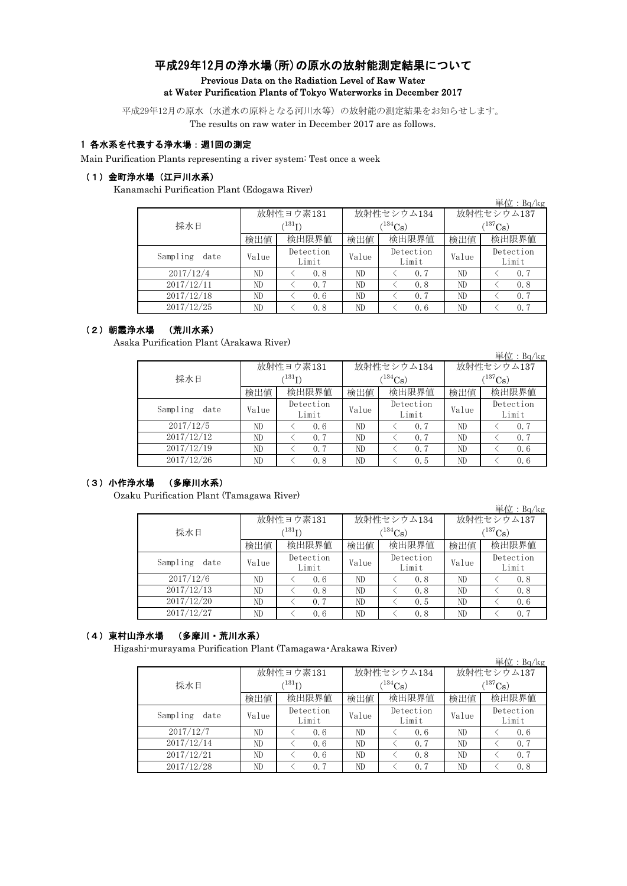## 平成29年12月の浄水場(所)の原水の放射能測定結果について Previous Data on the Radiation Level of Raw Water at Water Purification Plants of Tokyo Waterworks in December 2017

平成29年12月の原水(水道水の原料となる河川水等)の放射能の測定結果をお知らせします。 The results on raw water in December 2017 are as follows.

#### 1 各水系を代表する浄水場:週1回の測定

Main Purification Plants representing a river system: Test once a week

## (1)金町浄水場(江戸川水系)

Kanamachi Purification Plant (Edogawa River)

|                  |                      |                    |       |                    |                         | 単位: $Bq/kg$        |  |
|------------------|----------------------|--------------------|-------|--------------------|-------------------------|--------------------|--|
|                  |                      | 放射性ヨウ素131          |       | 放射性セシウム134         | 放射性セシウム137              |                    |  |
| 採水日              | $(^{131}\mathrm{I})$ |                    |       | $(134)$ Cs)        | $({}^{137}\mathrm{Cs})$ |                    |  |
|                  | 検出値                  | 検出限界値              | 検出値   | 検出限界値              | 検出値                     | 検出限界値              |  |
| Sampling<br>date | Value                | Detection<br>Limit | Value | Detection<br>Limit | Value                   | Detection<br>Limit |  |
| 2017/12/4        | ND                   | 0.8                | ND.   | 0.7                | ND                      | 0.7                |  |
| 2017/12/11       | ND                   | 0.7                | ND.   | 0.8                | ND                      | 0.8                |  |
| 2017/12/18       | ND                   | 0.6                | ND    | 0.7                | ND                      | 0.7                |  |
| 2017/12/25       | ND                   | 0.8                | ND    | 0.6                | ND                      | 0.7                |  |

# (2)朝霞浄水場 (荒川水系)

Asaka Purification Plant (Arakawa River)

|                  |       |                             |       |                    |              | 単位: $Bq/kg$        |  |
|------------------|-------|-----------------------------|-------|--------------------|--------------|--------------------|--|
|                  |       | 放射性ヨウ素131                   |       | 放射性セシウム134         | 放射性セシウム137   |                    |  |
| 採水日              |       | $^{\prime 131} \mathrm{I})$ |       | $134C_8$ )         | $(^{137}Cs)$ |                    |  |
|                  | 検出値   | 検出限界値                       | 検出値   | 検出限界値              | 検出値          | 検出限界値              |  |
| Sampling<br>date | Value | Detection<br>Limit          | Value | Detection<br>Limit | Value        | Detection<br>Limit |  |
| 2017/12/5        | ND    | 0.6                         | ND    | 0.7                | ND           | 0.7                |  |
| 2017/12/12       | ND    | 0.7                         | ND    | 0.7                | ND           | 0, 7               |  |
| 2017/12/19       | ND    | 0.7                         | ND    | 0.7                | ND           | 0.6                |  |
| 2017/12/26       | ND    | 0.8                         | ND    | 0.5                | ND           | 0.6                |  |

### (3)小作浄水場 (多摩川水系)

Ozaku Purification Plant (Tamagawa River)

|                  |       |                        |       |                    |              | 単位: $Bq/kg$        |  |
|------------------|-------|------------------------|-------|--------------------|--------------|--------------------|--|
|                  |       | 放射性ヨウ素131              |       | 放射性セシウム134         | 放射性セシウム137   |                    |  |
| 採水日              |       | $\rm \langle ^{131}I)$ |       | $(^{134}Cs)$       | $(^{137}Cs)$ |                    |  |
|                  | 検出値   | 検出限界値                  | 検出値   | 検出限界値              | 検出値          | 検出限界値              |  |
| Sampling<br>date | Value | Detection<br>Limit     | Value | Detection<br>Limit | Value        | Detection<br>Limit |  |
| 2017/12/6        | ND    | 0.6                    | ND    | 0.8                | ND           | 0.8                |  |
| 2017/12/13       | ND    | 0.8                    | ND    | 0.8                | ND           | 0.8                |  |
| 2017/12/20       | ND.   | 0.7                    | ND    | 0.5                | ND           | 0.6                |  |
| 2017/12/27       | ND    | 0.6                    | ND    | 0.8                | ND           | 0.7                |  |

## (4)東村山浄水場 (多摩川・荒川水系)

Higashi-murayama Purification Plant (Tamagawa・Arakawa River)

|                  |       |                             |       |                    |              | 単位: $Bq/kg$        |  |  |
|------------------|-------|-----------------------------|-------|--------------------|--------------|--------------------|--|--|
|                  |       | 放射性ヨウ素131                   |       | 放射性セシウム134         | 放射性セシウム137   |                    |  |  |
| 採水日              |       | $\langle ^{131}\mathrm{I})$ |       | $(134)$ Cs         | $(^{137}Cs)$ |                    |  |  |
|                  | 検出値   | 検出限界値                       | 検出値   | 検出限界値              | 検出値          | 検出限界値              |  |  |
| Sampling<br>date | Value | Detection<br>Limit          | Value | Detection<br>Limit | Value        | Detection<br>Limit |  |  |
| 2017/12/7        | ND    | 0.6                         | ND    | 0.6                | ND           | 0.6                |  |  |
| 2017/12/14       | ND    | 0.6                         | ND    | 0.7                | ND           | 0.7                |  |  |
| 2017/12/21       | ND    | 0.6                         | ND    | 0.8                | ND           | 0.7                |  |  |
| 2017/12/28       | ND    | 0.7                         | ND    | 0.7                | ND           | 0.8                |  |  |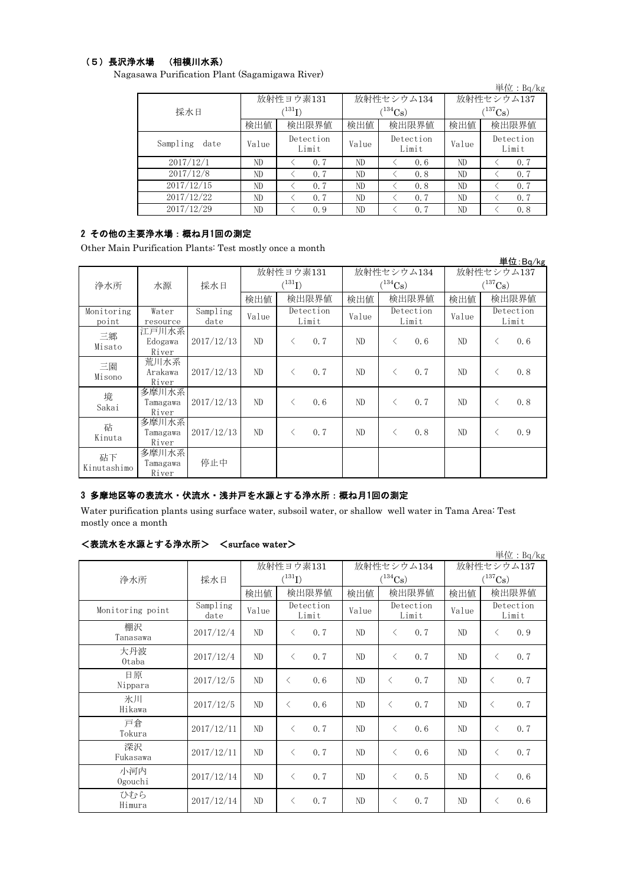### (5)長沢浄水場 (相模川水系)

Nagasawa Purification Plant (Sagamigawa River)

|                  |       |                             |       |                    |              | 単位: $Ba/kg$        |  |
|------------------|-------|-----------------------------|-------|--------------------|--------------|--------------------|--|
|                  |       | 放射性ヨウ素131                   |       | 放射性セシウム134         | 放射性セシウム137   |                    |  |
| 採水日              |       | $\langle ^{131}\mathrm{I})$ |       | $(134)$ Cs)        | $(^{137}Cs)$ |                    |  |
|                  | 検出値   | 検出限界値                       | 検出値   | 検出限界値              | 検出値          | 検出限界値              |  |
| Sampling<br>date | Value | Detection<br>Limit          | Value | Detection<br>Limit | Value        | Detection<br>Limit |  |
| 2017/12/1        | ND    | 0.7                         | ND    | 0.6                | ND           | 0, 7               |  |
| 2017/12/8        | ND    | 0.7                         | ND    | 0.8                | ND           | 0.7                |  |
| 2017/12/15       | ND    | 0.7                         | ND    | 0.8                | ND           | 0.7                |  |
| 2017/12/22       | ND    | 0.7                         | ND    | 0.7                | ND           | 0.7                |  |
| 2017/12/29       | ND    | 0.9                         | ND    | 0.7                | ND           | 0, 8               |  |

# 2 その他の主要浄水場:概ね月1回の測定

Other Main Purification Plants: Test mostly once a month

|                   |                            |            |             |                              |              |              |            |                       |       |           | 単位: Bq/kg |
|-------------------|----------------------------|------------|-------------|------------------------------|--------------|--------------|------------|-----------------------|-------|-----------|-----------|
|                   |                            |            | 放射性ヨウ素131   |                              |              |              | 放射性セシウム134 | 放射性セシウム137            |       |           |           |
| 浄水所               | 水源                         | 採水日        | $(^{131}I)$ |                              | $(^{134}Cs)$ |              |            | $(^{137}\mathrm{Cs})$ |       |           |           |
|                   |                            |            | 検出値         |                              | 検出限界値        | 検出限界値<br>検出値 |            | 検出値                   |       | 検出限界値     |           |
| Monitoring        | Water                      | Sampling   | Value       | Detection                    |              | Value        | Detection  |                       | Value | Detection |           |
| point             | resource                   | date       |             |                              | Limit        |              |            | Limit                 |       |           | Limit     |
| 三郷<br>Misato      | 江戸川水系<br>Edogawa<br>River  | 2017/12/13 | ND          | ぐ                            | 0, 7         | ND           | $\lt$      | 0.6                   | ND    | $\lt$     | 0.6       |
| 三園<br>Misono      | 荒川水系<br>Arakawa<br>River   | 2017/12/13 | ND          | $\langle$                    | 0, 7         | ND           | $\langle$  | 0, 7                  | ND    | $\langle$ | 0.8       |
| 境<br>Sakai        | 多摩川水系<br>Tamagawa<br>River | 2017/12/13 | ND          | $\left\langle \right\rangle$ | 0, 6         | ND           | $\lt$      | 0, 7                  | ND    | $\langle$ | 0.8       |
| 砧<br>Kinuta       | 多摩川水系<br>Tamagawa<br>River | 2017/12/13 | ND          | $\langle$                    | 0, 7         | ND           | $\lt$      | 0.8                   | ND    | $\langle$ | 0.9       |
| 砧下<br>Kinutashimo | 多摩川水系<br>Tamagawa<br>River | 停止中        |             |                              |              |              |            |                       |       |           |           |

## 3 多摩地区等の表流水・伏流水・浅井戸を水源とする浄水所:概ね月1回の測定

Water purification plants using surface water, subsoil water, or shallow well water in Tama Area: Test mostly once a month

## <表流水を水源とする浄水所> <surface water>

|                  |                  |       |             |                    |       |                       |                    |            |                       | 単位: Bq/kg          |
|------------------|------------------|-------|-------------|--------------------|-------|-----------------------|--------------------|------------|-----------------------|--------------------|
|                  |                  |       | 放射性ヨウ素131   |                    |       |                       | 放射性セシウム134         | 放射性セシウム137 |                       |                    |
| 浄水所              | 採水日              |       | $(^{131}I)$ |                    |       | $(^{134}\mathrm{Cs})$ |                    |            | $(^{137}\mathrm{Cs})$ |                    |
|                  |                  | 検出値   | 検出限界値       |                    | 検出値   |                       | 検出限界値              | 検出値        |                       | 検出限界値              |
| Monitoring point | Sampling<br>date | Value |             | Detection<br>Limit | Value |                       | Detection<br>Limit | Value      |                       | Detection<br>Limit |
| 棚沢<br>Tanasawa   | 2017/12/4        | ND    | $\langle$   | 0.7                | ND    | $\langle$             | 0.7                | ND         | $\langle$             | 0.9                |
| 大丹波<br>0taba     | 2017/12/4        | ND    | $\langle$   | 0.7                | ND    | $\langle$             | 0.7                | ND         | $\langle$             | 0.7                |
| 日原<br>Nippara    | 2017/12/5        | ND    | $\langle$   | 0.6                | ND    | $\langle$             | 0.7                | ND         | $\langle$             | 0.7                |
| 氷川<br>Hikawa     | 2017/12/5        | ND    | $\langle$   | 0.6                | ND.   | $\langle$             | 0.7                | ND         | $\langle$             | 0.7                |
| 戸倉<br>Tokura     | 2017/12/11       | ND    | $\langle$   | 0.7                | ND    | $\lt$                 | 0.6                | ND         | $\lt$                 | 0.7                |
| 深沢<br>Fukasawa   | 2017/12/11       | ND    | $\langle$   | 0.7                | ND    | $\langle$             | 0.6                | ND         | $\langle$             | 0.7                |
| 小河内<br>Ogouchi   | 2017/12/14       | ND    | $\langle$   | 0.7                | ND    | $\lt$                 | 0.5                | ND         | $\langle$             | 0.6                |
| ひむら<br>Himura    | 2017/12/14       | ND    | $\langle$   | 0.7                | ND    | $\langle$             | 0.7                | ND         | $\lt$                 | 0.6                |